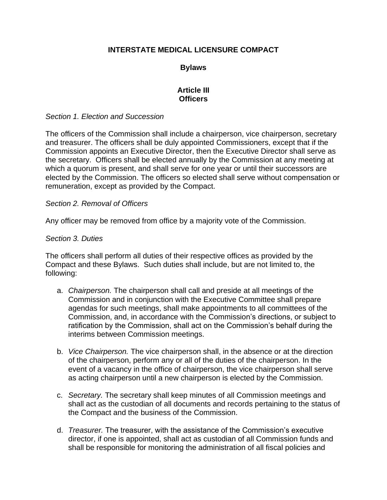# **INTERSTATE MEDICAL LICENSURE COMPACT**

# **Bylaws**

### **Article III Officers**

### *Section 1. Election and Succession*

The officers of the Commission shall include a chairperson, vice chairperson, secretary and treasurer. The officers shall be duly appointed Commissioners, except that if the Commission appoints an Executive Director, then the Executive Director shall serve as the secretary. Officers shall be elected annually by the Commission at any meeting at which a quorum is present, and shall serve for one year or until their successors are elected by the Commission. The officers so elected shall serve without compensation or remuneration, except as provided by the Compact.

### *Section 2. Removal of Officers*

Any officer may be removed from office by a majority vote of the Commission.

### *Section 3. Duties*

The officers shall perform all duties of their respective offices as provided by the Compact and these Bylaws. Such duties shall include, but are not limited to, the following:

- a. *Chairperson.* The chairperson shall call and preside at all meetings of the Commission and in conjunction with the Executive Committee shall prepare agendas for such meetings, shall make appointments to all committees of the Commission, and, in accordance with the Commission's directions, or subject to ratification by the Commission, shall act on the Commission's behalf during the interims between Commission meetings.
- b. *Vice Chairperson.* The vice chairperson shall, in the absence or at the direction of the chairperson, perform any or all of the duties of the chairperson. In the event of a vacancy in the office of chairperson, the vice chairperson shall serve as acting chairperson until a new chairperson is elected by the Commission.
- c. *Secretary.* The secretary shall keep minutes of all Commission meetings and shall act as the custodian of all documents and records pertaining to the status of the Compact and the business of the Commission.
- d. *Treasurer.* The treasurer, with the assistance of the Commission's executive director, if one is appointed, shall act as custodian of all Commission funds and shall be responsible for monitoring the administration of all fiscal policies and